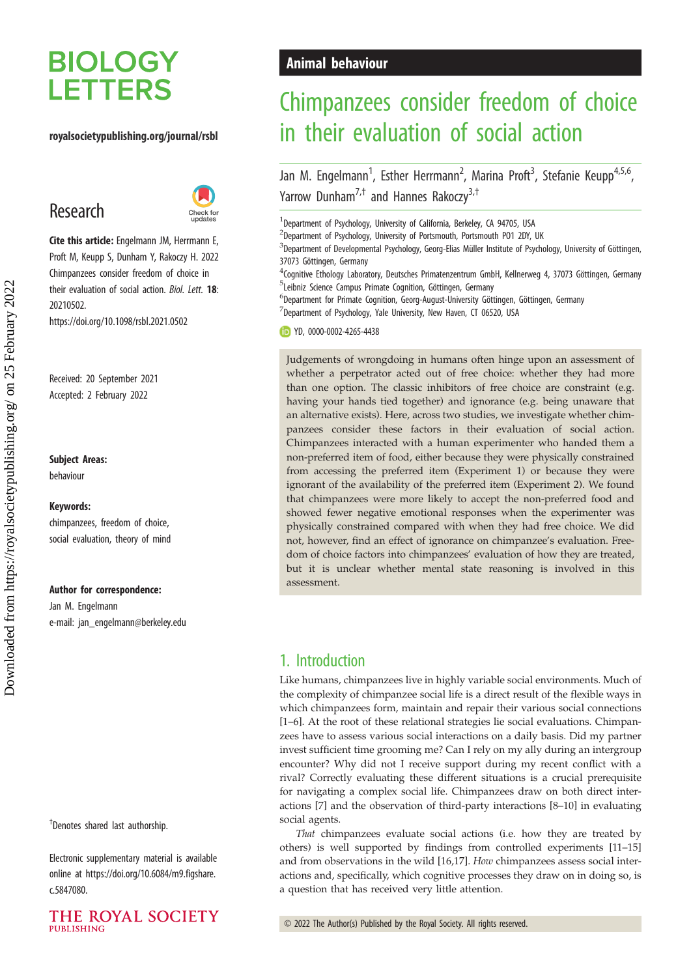# **BIOLOGY LETTERS**

#### royalsocietypublishing.org/journal/rsbl

## Research



Cite this article: Engelmann JM, Herrmann E, Proft M, Keupp S, Dunham Y, Rakoczy H. 2022 Chimpanzees consider freedom of choice in their evaluation of social action. Biol. Lett. 18: 20210502.

https://doi.org/10.1098/rsbl.2021.0502

Received: 20 September 2021 Accepted: 2 February 2022

#### Subject Areas:

behaviour

#### Keywords:

chimpanzees, freedom of choice, social evaluation, theory of mind

#### Author for correspondence:

Jan M. Engelmann e-mail: [jan\\_engelmann@berkeley.edu](mailto:jan_engelmann@berkeley.edu)

† Denotes shared last authorship.

Electronic supplementary material is available online at [https://doi.org/10.6084/m9.figshare.](https://doi.org/10.6084/m9.figshare.c.5847080) [c.5847080.](https://doi.org/10.6084/m9.figshare.c.5847080)

#### THE ROYAL SOCIETY **PUBLISHING**

## Animal behaviour

## Chimpanzees consider freedom of choice in their evaluation of social action

Jan M. Engelmann<sup>1</sup>, Esther Herrmann<sup>2</sup>, Marina Proft<sup>3</sup>, Stefanie Keupp<sup>4,5,6</sup>, Yarrow Dunham<sup>7,†</sup> and Hannes Rakoczy<sup>3,†</sup>

<sup>1</sup> Department of Psychology, University of California, Berkeley, CA 94705, USA

<sup>2</sup>Department of Psychology, University of Portsmouth, Portsmouth PO1 2DY, UK

 ${}^{3}$ Department of Developmental Psychology, Georg-Elias Müller Institute of Psychology, University of Göttingen, 37073 Göttingen, Germany

4 Cognitive Ethology Laboratory, Deutsches Primatenzentrum GmbH, Kellnerweg 4, 37073 Göttingen, Germany <sup>5</sup>Leibniz Science Campus Primate Cognition, Göttingen, Germany

6 Department for Primate Cognition, Georg-August-University Göttingen, Göttingen, Germany  $7$ Department of Psychology, Yale University, New Haven, CT 06520, USA

YD, [0000-0002-4265-4438](http://orcid.org/0000-0002-4265-4438)

Judgements of wrongdoing in humans often hinge upon an assessment of whether a perpetrator acted out of free choice: whether they had more than one option. The classic inhibitors of free choice are constraint (e.g. having your hands tied together) and ignorance (e.g. being unaware that an alternative exists). Here, across two studies, we investigate whether chimpanzees consider these factors in their evaluation of social action. Chimpanzees interacted with a human experimenter who handed them a non-preferred item of food, either because they were physically constrained from accessing the preferred item (Experiment 1) or because they were ignorant of the availability of the preferred item (Experiment 2). We found that chimpanzees were more likely to accept the non-preferred food and showed fewer negative emotional responses when the experimenter was physically constrained compared with when they had free choice. We did not, however, find an effect of ignorance on chimpanzee's evaluation. Freedom of choice factors into chimpanzees' evaluation of how they are treated, but it is unclear whether mental state reasoning is involved in this assessment.

### 1. Introduction

Like humans, chimpanzees live in highly variable social environments. Much of the complexity of chimpanzee social life is a direct result of the flexible ways in which chimpanzees form, maintain and repair their various social connections [[1](#page-4-0)–[6](#page-4-0)]. At the root of these relational strategies lie social evaluations. Chimpanzees have to assess various social interactions on a daily basis. Did my partner invest sufficient time grooming me? Can I rely on my ally during an intergroup encounter? Why did not I receive support during my recent conflict with a rival? Correctly evaluating these different situations is a crucial prerequisite for navigating a complex social life. Chimpanzees draw on both direct interactions [\[7\]](#page-4-0) and the observation of third-party interactions [[8](#page-4-0)–[10\]](#page-4-0) in evaluating social agents.

That chimpanzees evaluate social actions (i.e. how they are treated by others) is well supported by findings from controlled experiments [[11](#page-4-0)–[15\]](#page-4-0) and from observations in the wild [[16,17](#page-4-0)]. How chimpanzees assess social interactions and, specifically, which cognitive processes they draw on in doing so, is a question that has received very little attention.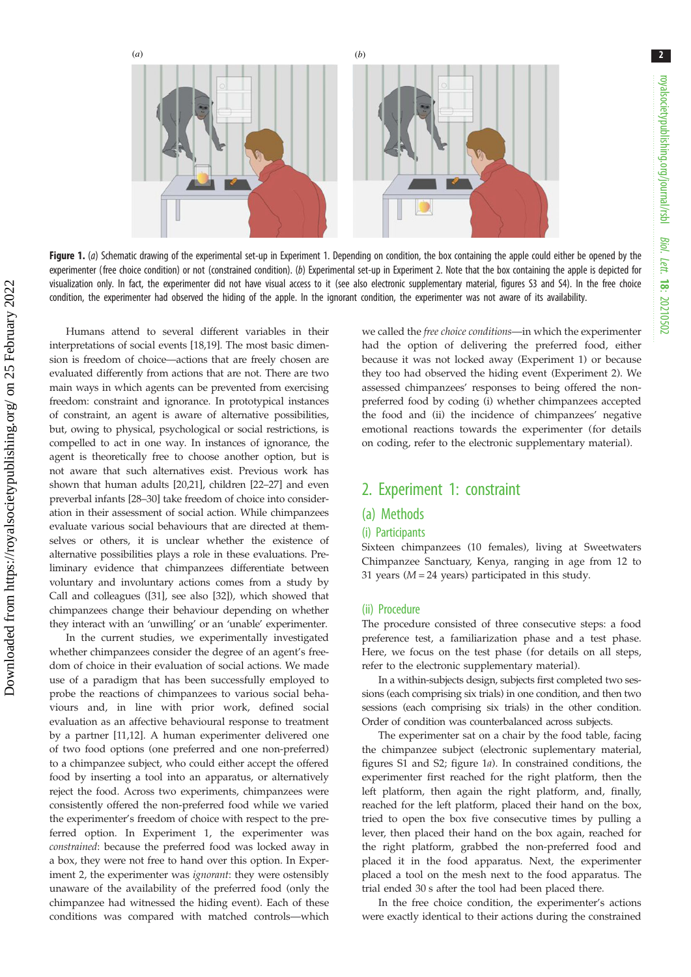<span id="page-1-0"></span>

Figure 1. (a) Schematic drawing of the experimental set-up in Experiment 1. Depending on condition, the box containing the apple could either be opened by the experimenter (free choice condition) or not (constrained condition). (b) Experimental set-up in Experiment 2. Note that the box containing the apple is depicted for visualization only. In fact, the experimenter did not have visual access to it (see also electronic supplementary material, figures S3 and S4). In the free choice condition, the experimenter had observed the hiding of the apple. In the ignorant condition, the experimenter was not aware of its availability.

Humans attend to several different variables in their interpretations of social events [[18,19\]](#page-4-0). The most basic dimension is freedom of choice—actions that are freely chosen are evaluated differently from actions that are not. There are two main ways in which agents can be prevented from exercising freedom: constraint and ignorance. In prototypical instances of constraint, an agent is aware of alternative possibilities, but, owing to physical, psychological or social restrictions, is compelled to act in one way. In instances of ignorance, the agent is theoretically free to choose another option, but is not aware that such alternatives exist. Previous work has shown that human adults [\[20,21\]](#page-4-0), children [\[22](#page-4-0)–[27](#page-4-0)] and even preverbal infants [\[28](#page-4-0)–[30](#page-4-0)] take freedom of choice into consideration in their assessment of social action. While chimpanzees evaluate various social behaviours that are directed at themselves or others, it is unclear whether the existence of alternative possibilities plays a role in these evaluations. Preliminary evidence that chimpanzees differentiate between voluntary and involuntary actions comes from a study by Call and colleagues ([\[31](#page-4-0)], see also [\[32\]](#page-5-0)), which showed that chimpanzees change their behaviour depending on whether they interact with an 'unwilling' or an 'unable' experimenter.

In the current studies, we experimentally investigated whether chimpanzees consider the degree of an agent's freedom of choice in their evaluation of social actions. We made use of a paradigm that has been successfully employed to probe the reactions of chimpanzees to various social behaviours and, in line with prior work, defined social evaluation as an affective behavioural response to treatment by a partner [[11,12](#page-4-0)]. A human experimenter delivered one of two food options (one preferred and one non-preferred) to a chimpanzee subject, who could either accept the offered food by inserting a tool into an apparatus, or alternatively reject the food. Across two experiments, chimpanzees were consistently offered the non-preferred food while we varied the experimenter's freedom of choice with respect to the preferred option. In Experiment 1, the experimenter was constrained: because the preferred food was locked away in a box, they were not free to hand over this option. In Experiment 2, the experimenter was ignorant: they were ostensibly unaware of the availability of the preferred food (only the chimpanzee had witnessed the hiding event). Each of these conditions was compared with matched controls—which we called the free choice conditions—in which the experimenter had the option of delivering the preferred food, either because it was not locked away (Experiment 1) or because they too had observed the hiding event (Experiment 2). We assessed chimpanzees' responses to being offered the nonpreferred food by coding (i) whether chimpanzees accepted the food and (ii) the incidence of chimpanzees' negative emotional reactions towards the experimenter (for details on coding, refer to the electronic supplementary material).

### 2. Experiment 1: constraint

#### (a) Methods

#### (i) Participants

Sixteen chimpanzees (10 females), living at Sweetwaters Chimpanzee Sanctuary, Kenya, ranging in age from 12 to 31 years ( $M = 24$  years) participated in this study.

#### (ii) Procedure

The procedure consisted of three consecutive steps: a food preference test, a familiarization phase and a test phase. Here, we focus on the test phase (for details on all steps, refer to the electronic supplementary material).

In a within-subjects design, subjects first completed two sessions (each comprising six trials) in one condition, and then two sessions (each comprising six trials) in the other condition. Order of condition was counterbalanced across subjects.

The experimenter sat on a chair by the food table, facing the chimpanzee subject (electronic suplementary material, figures S1 and S2; figure 1a). In constrained conditions, the experimenter first reached for the right platform, then the left platform, then again the right platform, and, finally, reached for the left platform, placed their hand on the box, tried to open the box five consecutive times by pulling a lever, then placed their hand on the box again, reached for the right platform, grabbed the non-preferred food and placed it in the food apparatus. Next, the experimenter placed a tool on the mesh next to the food apparatus. The trial ended 30 s after the tool had been placed there.

In the free choice condition, the experimenter's actions were exactly identical to their actions during the constrained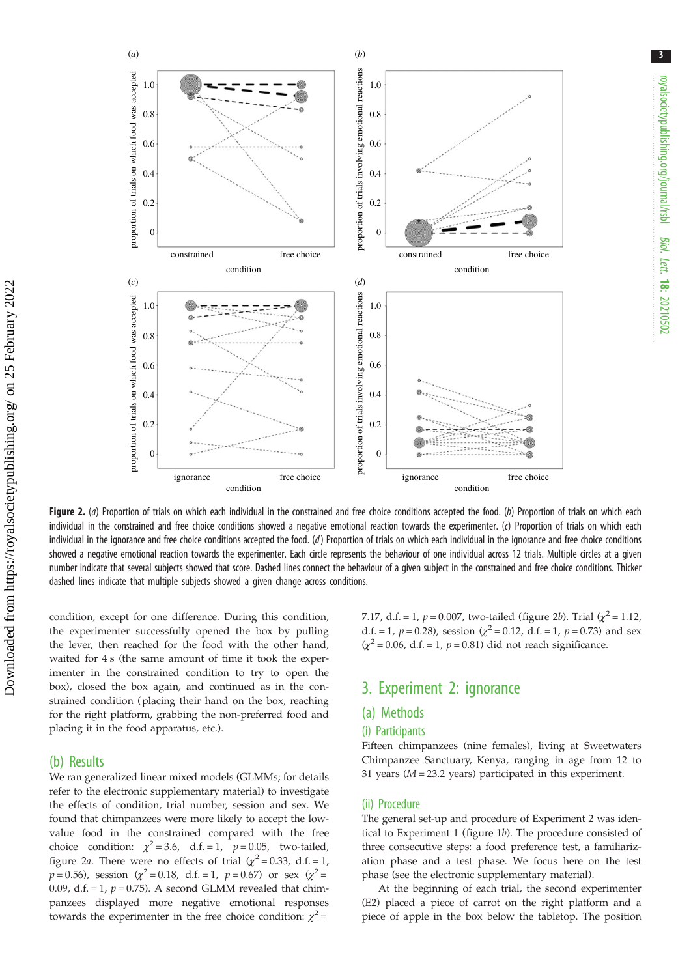<span id="page-2-0"></span>

Figure 2. (a) Proportion of trials on which each individual in the constrained and free choice conditions accepted the food. (b) Proportion of trials on which each individual in the constrained and free choice conditions showed a negative emotional reaction towards the experimenter. (c) Proportion of trials on which each individual in the ignorance and free choice conditions accepted the food.  $(d)$  Proportion of trials on which each individual in the ignorance and free choice conditions showed a negative emotional reaction towards the experimenter. Each circle represents the behaviour of one individual across 12 trials. Multiple circles at a given number indicate that several subjects showed that score. Dashed lines connect the behaviour of a given subject in the constrained and free choice conditions. Thicker dashed lines indicate that multiple subjects showed a given change across conditions.

condition, except for one difference. During this condition, the experimenter successfully opened the box by pulling the lever, then reached for the food with the other hand, waited for 4 s (the same amount of time it took the experimenter in the constrained condition to try to open the box), closed the box again, and continued as in the constrained condition (placing their hand on the box, reaching for the right platform, grabbing the non-preferred food and placing it in the food apparatus, etc.).

#### (b) Results

We ran generalized linear mixed models (GLMMs; for details refer to the electronic supplementary material) to investigate the effects of condition, trial number, session and sex. We found that chimpanzees were more likely to accept the lowvalue food in the constrained compared with the free choice condition:  $\chi^2 = 3.6$ , d.f. = 1,  $p = 0.05$ , two-tailed, figure 2a. There were no effects of trial  $(\chi^2 = 0.33, d.f. = 1,$  $p = 0.56$ ), session ( $\chi^2 = 0.18$ , d.f. = 1,  $p = 0.67$ ) or sex ( $\chi^2 =$ 0.09, d.f. = 1,  $p = 0.75$ ). A second GLMM revealed that chimpanzees displayed more negative emotional responses towards the experimenter in the free choice condition:  $\chi^2$  =

7.17, d.f. = 1,  $p = 0.007$ , two-tailed (figure 2b). Trial ( $\chi^2 = 1.12$ ) d.f. = 1,  $p = 0.28$ ), session ( $\chi^2 = 0.12$ , d.f. = 1,  $p = 0.73$ ) and sex  $(\chi^2 = 0.06, d.f. = 1, p = 0.81)$  did not reach significance.

## 3. Experiment 2: ignorance

#### (a) Methods

#### (i) Participants

Fifteen chimpanzees (nine females), living at Sweetwaters Chimpanzee Sanctuary, Kenya, ranging in age from 12 to 31 years  $(M = 23.2$  years) participated in this experiment.

#### (ii) Procedure

The general set-up and procedure of Experiment 2 was identical to Experiment 1 [\(figure 1](#page-1-0)b). The procedure consisted of three consecutive steps: a food preference test, a familiarization phase and a test phase. We focus here on the test phase (see the electronic supplementary material).

At the beginning of each trial, the second experimenter (E2) placed a piece of carrot on the right platform and a piece of apple in the box below the tabletop. The position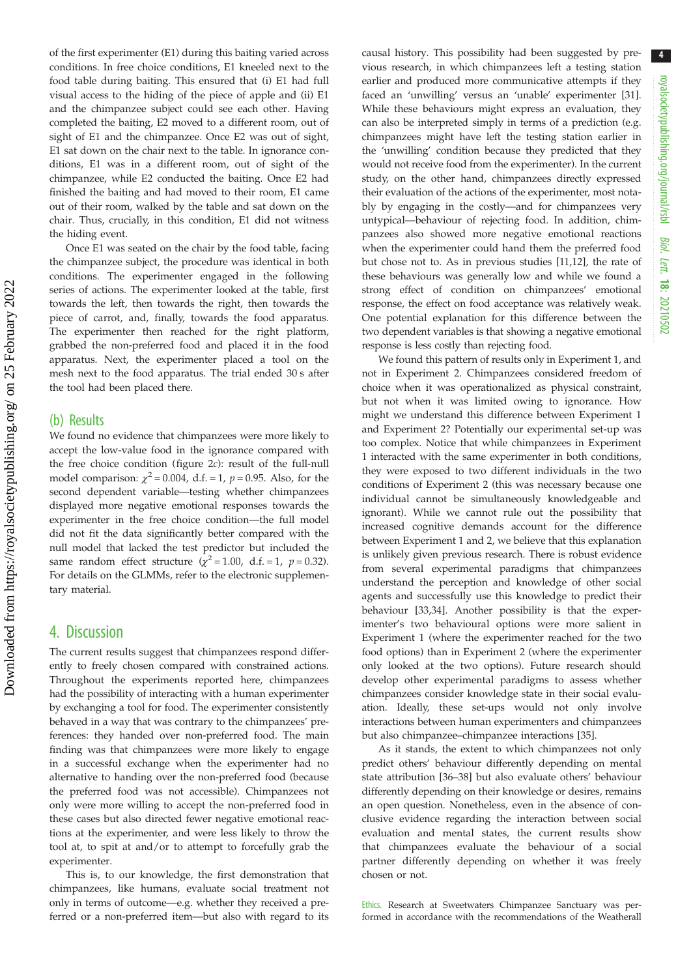of the first experimenter (E1) during this baiting varied across conditions. In free choice conditions, E1 kneeled next to the food table during baiting. This ensured that (i) E1 had full visual access to the hiding of the piece of apple and (ii) E1 and the chimpanzee subject could see each other. Having completed the baiting, E2 moved to a different room, out of sight of E1 and the chimpanzee. Once E2 was out of sight, E1 sat down on the chair next to the table. In ignorance conditions, E1 was in a different room, out of sight of the chimpanzee, while E2 conducted the baiting. Once E2 had finished the baiting and had moved to their room, E1 came out of their room, walked by the table and sat down on the chair. Thus, crucially, in this condition, E1 did not witness the hiding event.

Once E1 was seated on the chair by the food table, facing the chimpanzee subject, the procedure was identical in both conditions. The experimenter engaged in the following series of actions. The experimenter looked at the table, first towards the left, then towards the right, then towards the piece of carrot, and, finally, towards the food apparatus. The experimenter then reached for the right platform, grabbed the non-preferred food and placed it in the food apparatus. Next, the experimenter placed a tool on the mesh next to the food apparatus. The trial ended 30 s after the tool had been placed there.

#### (b) Results

We found no evidence that chimpanzees were more likely to accept the low-value food in the ignorance compared with the free choice condition [\(figure 2](#page-2-0)c): result of the full-null model comparison:  $\chi^2$  = 0.004, d.f. = 1, p = 0.95. Also, for the second dependent variable—testing whether chimpanzees displayed more negative emotional responses towards the experimenter in the free choice condition—the full model did not fit the data significantly better compared with the null model that lacked the test predictor but included the same random effect structure ( $\chi^2$  = 1.00, d.f. = 1, p = 0.32). For details on the GLMMs, refer to the electronic supplementary material.

#### 4. Discussion

The current results suggest that chimpanzees respond differently to freely chosen compared with constrained actions. Throughout the experiments reported here, chimpanzees had the possibility of interacting with a human experimenter by exchanging a tool for food. The experimenter consistently behaved in a way that was contrary to the chimpanzees' preferences: they handed over non-preferred food. The main finding was that chimpanzees were more likely to engage in a successful exchange when the experimenter had no alternative to handing over the non-preferred food (because the preferred food was not accessible). Chimpanzees not only were more willing to accept the non-preferred food in these cases but also directed fewer negative emotional reactions at the experimenter, and were less likely to throw the tool at, to spit at and/or to attempt to forcefully grab the experimenter.

This is, to our knowledge, the first demonstration that chimpanzees, like humans, evaluate social treatment not only in terms of outcome—e.g. whether they received a preferred or a non-preferred item—but also with regard to its causal history. This possibility had been suggested by previous research, in which chimpanzees left a testing station earlier and produced more communicative attempts if they faced an 'unwilling' versus an 'unable' experimenter [[31\]](#page-4-0). While these behaviours might express an evaluation, they can also be interpreted simply in terms of a prediction (e.g. chimpanzees might have left the testing station earlier in the 'unwilling' condition because they predicted that they would not receive food from the experimenter). In the current study, on the other hand, chimpanzees directly expressed their evaluation of the actions of the experimenter, most notably by engaging in the costly—and for chimpanzees very untypical—behaviour of rejecting food. In addition, chimpanzees also showed more negative emotional reactions when the experimenter could hand them the preferred food but chose not to. As in previous studies [\[11,12](#page-4-0)], the rate of these behaviours was generally low and while we found a strong effect of condition on chimpanzees' emotional response, the effect on food acceptance was relatively weak. One potential explanation for this difference between the two dependent variables is that showing a negative emotional response is less costly than rejecting food.

We found this pattern of results only in Experiment 1, and not in Experiment 2. Chimpanzees considered freedom of choice when it was operationalized as physical constraint, but not when it was limited owing to ignorance. How might we understand this difference between Experiment 1 and Experiment 2? Potentially our experimental set-up was too complex. Notice that while chimpanzees in Experiment 1 interacted with the same experimenter in both conditions, they were exposed to two different individuals in the two conditions of Experiment 2 (this was necessary because one individual cannot be simultaneously knowledgeable and ignorant). While we cannot rule out the possibility that increased cognitive demands account for the difference between Experiment 1 and 2, we believe that this explanation is unlikely given previous research. There is robust evidence from several experimental paradigms that chimpanzees understand the perception and knowledge of other social agents and successfully use this knowledge to predict their behaviour [[33,34\]](#page-5-0). Another possibility is that the experimenter's two behavioural options were more salient in Experiment 1 (where the experimenter reached for the two food options) than in Experiment 2 (where the experimenter only looked at the two options). Future research should develop other experimental paradigms to assess whether chimpanzees consider knowledge state in their social evaluation. Ideally, these set-ups would not only involve interactions between human experimenters and chimpanzees but also chimpanzee–chimpanzee interactions [\[35](#page-5-0)].

As it stands, the extent to which chimpanzees not only predict others' behaviour differently depending on mental state attribution [\[36](#page-5-0)–[38\]](#page-5-0) but also evaluate others' behaviour differently depending on their knowledge or desires, remains an open question. Nonetheless, even in the absence of conclusive evidence regarding the interaction between social evaluation and mental states, the current results show that chimpanzees evaluate the behaviour of a social partner differently depending on whether it was freely chosen or not.

Ethics. Research at Sweetwaters Chimpanzee Sanctuary was performed in accordance with the recommendations of the Weatherall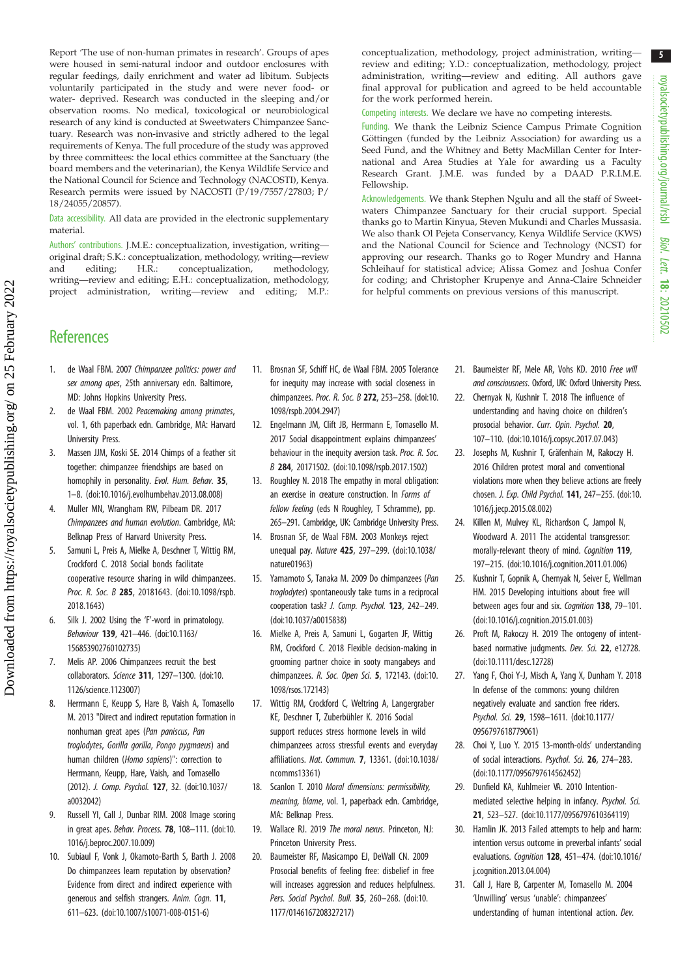<span id="page-4-0"></span>Report 'The use of non-human primates in research'. Groups of apes were housed in semi-natural indoor and outdoor enclosures with regular feedings, daily enrichment and water ad libitum. Subjects voluntarily participated in the study and were never food- or water- deprived. Research was conducted in the sleeping and/or observation rooms. No medical, toxicological or neurobiological research of any kind is conducted at Sweetwaters Chimpanzee Sanctuary. Research was non-invasive and strictly adhered to the legal requirements of Kenya. The full procedure of the study was approved by three committees: the local ethics committee at the Sanctuary (the board members and the veterinarian), the Kenya Wildlife Service and the National Council for Science and Technology (NACOSTI), Kenya. Research permits were issued by NACOSTI (P/19/7557/27803; P/ 18/24055/20857).

Data accessibility. All data are provided in the electronic supplementary material.

Authors' contributions. J.M.E.: conceptualization, investigation, writing original draft; S.K.: conceptualization, methodology, writing—review and editing; H.R.: conceptualization, methodology, writing—review and editing; E.H.: conceptualization, methodology, project administration, writing—review and editing; M.P.: conceptualization, methodology, project administration, writing review and editing; Y.D.: conceptualization, methodology, project administration, writing—review and editing. All authors gave final approval for publication and agreed to be held accountable for the work performed herein.

Competing interests. We declare we have no competing interests.

Funding. We thank the Leibniz Science Campus Primate Cognition Göttingen (funded by the Leibniz Association) for awarding us a Seed Fund, and the Whitney and Betty MacMillan Center for International and Area Studies at Yale for awarding us a Faculty Research Grant. J.M.E. was funded by a DAAD P.R.I.M.E. Fellowship.

Acknowledgements. We thank Stephen Ngulu and all the staff of Sweetwaters Chimpanzee Sanctuary for their crucial support. Special thanks go to Martin Kinyua, Steven Mukundi and Charles Mussasia. We also thank Ol Pejeta Conservancy, Kenya Wildlife Service (KWS) and the National Council for Science and Technology (NCST) for approving our research. Thanks go to Roger Mundry and Hanna Schleihauf for statistical advice; Alissa Gomez and Joshua Confer for coding; and Christopher Krupenye and Anna-Claire Schneider for helpful comments on previous versions of this manuscript.

## **References**

- 1. de Waal FBM. 2007 Chimpanzee politics: power and sex among apes, 25th anniversary edn. Baltimore, MD: Johns Hopkins University Press.
- 2. de Waal FBM. 2002 Peacemaking among primates, vol. 1, 6th paperback edn. Cambridge, MA: Harvard University Press.
- 3. Massen JJM, Koski SE. 2014 Chimps of a feather sit together: chimpanzee friendships are based on homophily in personality. Evol. Hum. Behav. 35, 1–8. [\(doi:10.1016/j.evolhumbehav.2013.08.008\)](https://doi.org/10.1016/j.evolhumbehav.2013.08.008)
- 4. Muller MN, Wrangham RW, Pilbeam DR. 2017 Chimpanzees and human evolution. Cambridge, MA: Belknap Press of Harvard University Press.
- 5. Samuni L, Preis A, Mielke A, Deschner T, Wittig RM, Crockford C. 2018 Social bonds facilitate cooperative resource sharing in wild chimpanzees. Proc. R. Soc. B 285, 20181643. ([doi:10.1098/rspb.](http://dx.doi.org/10.1098/rspb.2018.1643) [2018.1643\)](http://dx.doi.org/10.1098/rspb.2018.1643)
- 6. Silk J. 2002 Using the 'F'-word in primatology. Behaviour 139, 421–446. ([doi:10.1163/](http://dx.doi.org/10.1163/156853902760102735) [156853902760102735\)](http://dx.doi.org/10.1163/156853902760102735)
- 7. Melis AP. 2006 Chimpanzees recruit the best collaborators. Science 311, 1297–1300. ([doi:10.](http://dx.doi.org/10.1126/science.1123007) [1126/science.1123007\)](http://dx.doi.org/10.1126/science.1123007)
- 8. Herrmann E, Keupp S, Hare B, Vaish A, Tomasello M. 2013 "Direct and indirect reputation formation in nonhuman great apes (Pan paniscus, Pan troglodytes, Gorilla gorilla, Pongo pygmaeus) and human children (Homo sapiens)": correction to Herrmann, Keupp, Hare, Vaish, and Tomasello (2012). J. Comp. Psychol. 127, 32. [\(doi:10.1037/](https://doi.org/10.1037/a0032042) [a0032042\)](https://doi.org/10.1037/a0032042)
- 9. Russell YI, Call J, Dunbar RIM. 2008 Image scoring in great apes. Behav. Process. 78, 108-111. ([doi:10.](https://doi.org/10.1016/j.beproc.2007.10.009) [1016/j.beproc.2007.10.009](https://doi.org/10.1016/j.beproc.2007.10.009))
- 10. Subiaul F, Vonk J, Okamoto-Barth S, Barth J. 2008 Do chimpanzees learn reputation by observation? Evidence from direct and indirect experience with generous and selfish strangers. Anim. Cogn. 11, 611–623. ([doi:10.1007/s10071-008-0151-6](http://dx.doi.org/10.1007/s10071-008-0151-6))
- 11. Brosnan SF, Schiff HC, de Waal FBM. 2005 Tolerance for inequity may increase with social closeness in chimpanzees. Proc. R. Soc. B 272, 253–258. [\(doi:10.](http://dx.doi.org/10.1098/rspb.2004.2947) [1098/rspb.2004.2947\)](http://dx.doi.org/10.1098/rspb.2004.2947)
- 12. Engelmann JM, Clift JB, Herrmann E, Tomasello M. 2017 Social disappointment explains chimpanzees' behaviour in the inequity aversion task. Proc. R. Soc. B 284, 20171502. [\(doi:10.1098/rspb.2017.1502](http://dx.doi.org/10.1098/rspb.2017.1502))
- 13. Roughley N. 2018 The empathy in moral obligation: an exercise in creature construction. In Forms of fellow feeling (eds N Roughley, T Schramme), pp. 265–291. Cambridge, UK: Cambridge University Press.
- 14. Brosnan SF, de Waal FBM. 2003 Monkeys reject unequal pay. Nature 425, 297–299. ([doi:10.1038/](http://dx.doi.org/10.1038/nature01963) [nature01963](http://dx.doi.org/10.1038/nature01963))
- 15. Yamamoto S, Tanaka M. 2009 Do chimpanzees (Pan troglodytes) spontaneously take turns in a reciprocal cooperation task? J. Comp. Psychol. 123, 242–249. [\(doi:10.1037/a0015838\)](http://dx.doi.org/10.1037/a0015838)
- 16. Mielke A, Preis A, Samuni L, Gogarten JF, Wittig RM, Crockford C. 2018 Flexible decision-making in grooming partner choice in sooty mangabeys and chimpanzees. R. Soc. Open Sci. 5, 172143. ([doi:10.](http://dx.doi.org/10.1098/rsos.172143) [1098/rsos.172143](http://dx.doi.org/10.1098/rsos.172143))
- 17. Wittig RM, Crockford C, Weltring A, Langergraber KE, Deschner T, Zuberbühler K. 2016 Social support reduces stress hormone levels in wild chimpanzees across stressful events and everyday affiliations. Nat. Commun. 7, 13361. [\(doi:10.1038/](http://dx.doi.org/10.1038/ncomms13361) [ncomms13361\)](http://dx.doi.org/10.1038/ncomms13361)
- 18. Scanlon T. 2010 Moral dimensions: permissibility, meaning, blame, vol. 1, paperback edn. Cambridge, MA: Belknap Press.
- 19. Wallace RJ. 2019 The moral nexus. Princeton, NJ: Princeton University Press.
- 20. Baumeister RF, Masicampo EJ, DeWall CN. 2009 Prosocial benefits of feeling free: disbelief in free will increases aggression and reduces helpfulness. Pers. Social Psychol. Bull. 35, 260-268. [\(doi:10.](https://doi.org/10.1177/0146167208327217) [1177/0146167208327217\)](https://doi.org/10.1177/0146167208327217)
- 21. Baumeister RF, Mele AR, Vohs KD. 2010 Free will and consciousness. Oxford, UK: Oxford University Press.
- 22. Chernyak N, Kushnir T. 2018 The influence of understanding and having choice on children's prosocial behavior. Curr. Opin. Psychol. 20, 107–110. [\(doi:10.1016/j.copsyc.2017.07.043](http://dx.doi.org/10.1016/j.copsyc.2017.07.043))
- 23. Josephs M, Kushnir T, Gräfenhain M, Rakoczy H. 2016 Children protest moral and conventional violations more when they believe actions are freely chosen. J. Exp. Child Psychol. 141, 247–255. [\(doi:10.](http://dx.doi.org/10.1016/j.jecp.2015.08.002) [1016/j.jecp.2015.08.002](http://dx.doi.org/10.1016/j.jecp.2015.08.002))
- 24. Killen M, Mulvey KL, Richardson C, Jampol N, Woodward A. 2011 The accidental transgressor: morally-relevant theory of mind. Cognition 119, 197–215. [\(doi:10.1016/j.cognition.2011.01.006](https://doi.org/10.1016/j.cognition.2011.01.006))
- 25. Kushnir T, Gopnik A, Chernyak N, Seiver E, Wellman HM. 2015 Developing intuitions about free will between ages four and six. Cognition 138, 79-101. ([doi:10.1016/j.cognition.2015.01.003\)](http://dx.doi.org/10.1016/j.cognition.2015.01.003)
- 26. Proft M, Rakoczy H. 2019 The ontogeny of intentbased normative judgments. Dev. Sci. 22, e12728. ([doi:10.1111/desc.12728\)](http://dx.doi.org/10.1111/desc.12728)
- 27. Yang F, Choi Y-J, Misch A, Yang X, Dunham Y. 2018 In defense of the commons: young children negatively evaluate and sanction free riders. Psychol. Sci. 29, 1598–1611. [\(doi:10.1177/](http://dx.doi.org/10.1177/0956797618779061) [0956797618779061\)](http://dx.doi.org/10.1177/0956797618779061)
- 28. Choi Y, Luo Y. 2015 13-month-olds' understanding of social interactions. Psychol. Sci. 26, 274–283. ([doi:10.1177/0956797614562452\)](https://doi.org/10.1177/0956797614562452)
- 29. Dunfield KA, Kuhlmeier VA. 2010 Intentionmediated selective helping in infancy. Psychol. Sci. 21, 523–527. ([doi:10.1177/0956797610364119](http://dx.doi.org/10.1177/0956797610364119))
- 30. Hamlin JK. 2013 Failed attempts to help and harm: intention versus outcome in preverbal infants' social evaluations. Cognition 128, 451–474. [\(doi:10.1016/](http://dx.doi.org/10.1016/j.cognition.2013.04.004) [j.cognition.2013.04.004\)](http://dx.doi.org/10.1016/j.cognition.2013.04.004)
- 31. Call J, Hare B, Carpenter M, Tomasello M. 2004 'Unwilling' versus 'unable': chimpanzees' understanding of human intentional action. Dev.